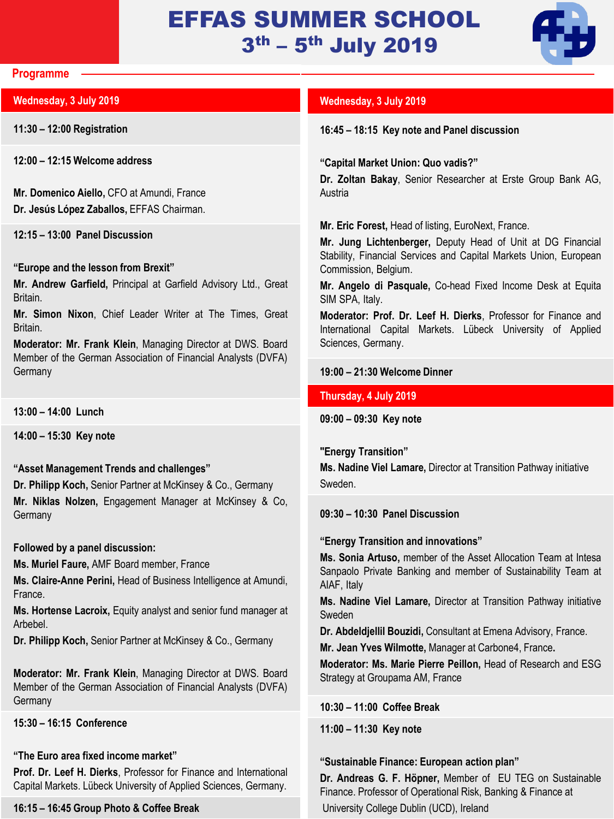# EFFAS SUMMER SCHOOL 3<sup>th</sup> – 5<sup>th</sup> July 2019



#### **Programme**

# **Wednesday, 3 July 2019**

**11:30 – 12:00 Registration**

**12:00 – 12:15 Welcome address**

**Mr. Domenico Aiello,** CFO at Amundi, France **Dr. Jesús López Zaballos,** EFFAS Chairman.

**12:15 – 13:00 Panel Discussion**

# **"Europe and the lesson from Brexit"**

**Mr. Andrew Garfield,** Principal at Garfield Advisory Ltd., Great Britain.

**Mr. Simon Nixon**, Chief Leader Writer at The Times, Great Britain.

**Moderator: Mr. Frank Klein**, Managing Director at DWS. Board Member of the German Association of Financial Analysts (DVFA) **Germany** 

**13:00 – 14:00 Lunch**

**14:00 – 15:30 Key note**

# **"Asset Management Trends and challenges"**

**Dr. Philipp Koch,** Senior Partner at McKinsey & Co., Germany **Mr. Niklas Nolzen,** Engagement Manager at McKinsey & Co, **Germany** 

# **Followed by a panel discussion:**

**Ms. Muriel Faure,** AMF Board member, France

**Ms. Claire-Anne Perini,** Head of Business Intelligence at Amundi, France.

**Ms. Hortense Lacroix,** Equity analyst and senior fund manager at Arbebel.

**Dr. Philipp Koch,** Senior Partner at McKinsey & Co., Germany

**Moderator: Mr. Frank Klein**, Managing Director at DWS. Board Member of the German Association of Financial Analysts (DVFA) **Germany** 

# **15:30 – 16:15 Conference**

# **"The Euro area fixed income market"**

**Prof. Dr. Leef H. Dierks**, Professor for Finance and International Capital Markets. Lübeck University of Applied Sciences, Germany.

#### **16:15 – 16:45 Group Photo & Coffee Break**

# **Wednesday, 3 July 2019**

**16:45 – 18:15 Key note and Panel discussion**

**"Capital Market Union: Quo vadis?"**

**Dr. Zoltan Bakay**, Senior Researcher at Erste Group Bank AG, Austria

**Mr. Eric Forest,** Head of listing, EuroNext, France.

**Mr. Jung Lichtenberger,** Deputy Head of Unit at DG Financial Stability, Financial Services and Capital Markets Union, European Commission, Belgium.

**Mr. Angelo di Pasquale,** Co-head Fixed Income Desk at Equita SIM SPA, Italy.

**Moderator: Prof. Dr. Leef H. Dierks**, Professor for Finance and International Capital Markets. Lübeck University of Applied Sciences, Germany.

# **19:00 – 21:30 Welcome Dinner**

# **Thursday, 4 July 2019**

**09:00 – 09:30 Key note**

**"Energy Transition"**

**Ms. Nadine Viel Lamare,** Director at Transition Pathway initiative Sweden.

**09:30 – 10:30 Panel Discussion**

**"Energy Transition and innovations"**

**Ms. Sonia Artuso,** member of the Asset Allocation Team at Intesa Sanpaolo Private Banking and member of Sustainability Team at AIAF, Italy

**Ms. Nadine Viel Lamare,** Director at Transition Pathway initiative Sweden

**Dr. Abdeldjellil Bouzidi,** Consultant at Emena Advisory, France.

**Mr. Jean Yves Wilmotte,** Manager at Carbone4, France**.**

**Moderator: Ms. Marie Pierre Peillon,** Head of Research and ESG Strategy at Groupama AM, France

**10:30 – 11:00 Coffee Break**

**11:00 – 11:30 Key note**

# **"Sustainable Finance: European action plan"**

**Dr. Andreas G. F. Höpner,** Member of EU TEG on Sustainable Finance. Professor of Operational Risk, Banking & Finance at University College Dublin (UCD), Ireland